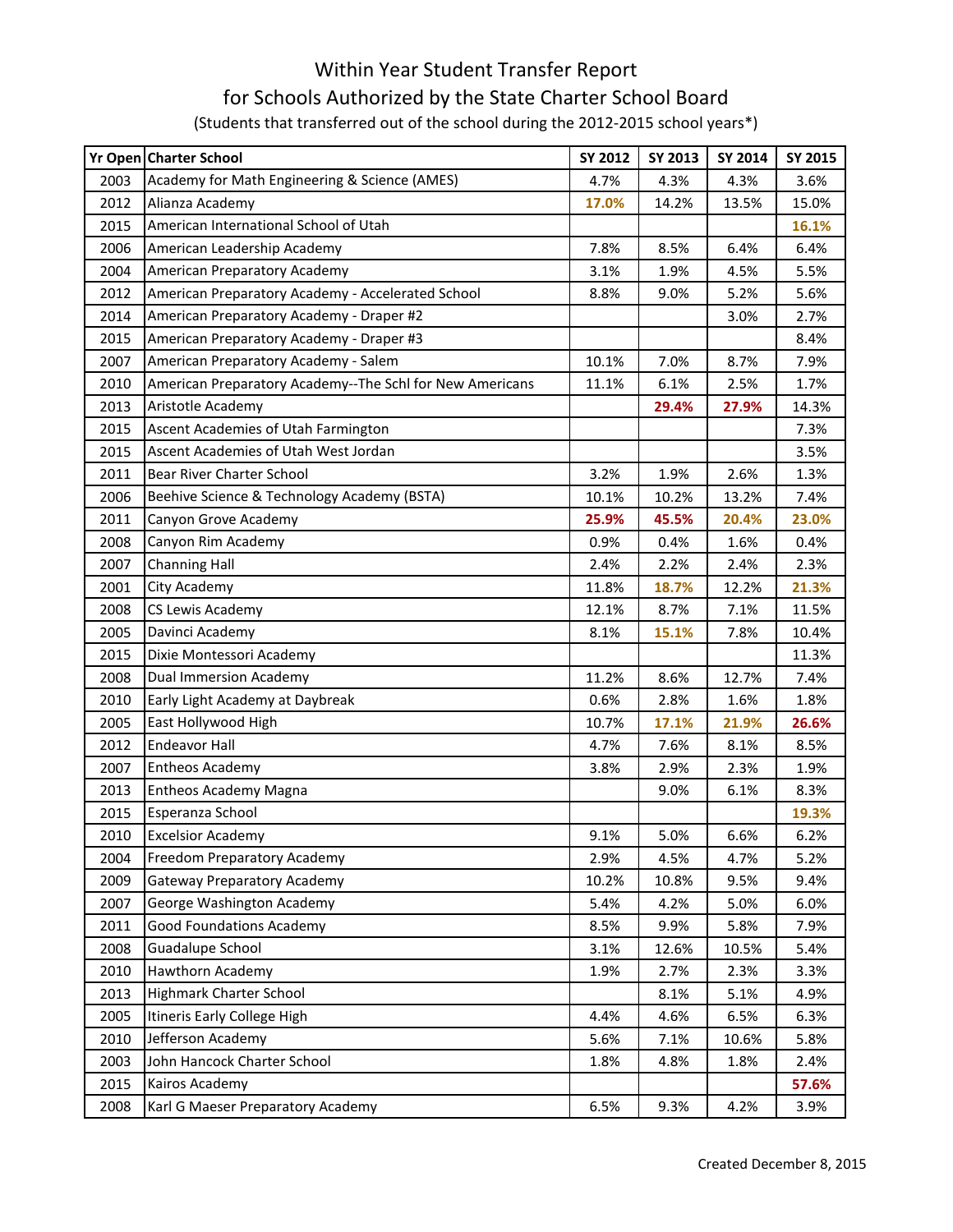## Within Year Student Transfer Report for Schools Authorized by the State Charter School Board (Students that transferred out of the school during the 2012-2015 school years\*)

|      | Yr Open Charter School                                   | SY 2012 | SY 2013 | SY 2014 | SY 2015 |
|------|----------------------------------------------------------|---------|---------|---------|---------|
| 2003 | Academy for Math Engineering & Science (AMES)            | 4.7%    | 4.3%    | 4.3%    | 3.6%    |
| 2012 | Alianza Academy                                          | 17.0%   | 14.2%   | 13.5%   | 15.0%   |
| 2015 | American International School of Utah                    |         |         |         | 16.1%   |
| 2006 | American Leadership Academy                              | 7.8%    | 8.5%    | 6.4%    | 6.4%    |
| 2004 | American Preparatory Academy                             | 3.1%    | 1.9%    | 4.5%    | 5.5%    |
| 2012 | American Preparatory Academy - Accelerated School        | 8.8%    | 9.0%    | 5.2%    | 5.6%    |
| 2014 | American Preparatory Academy - Draper #2                 |         |         | 3.0%    | 2.7%    |
| 2015 | American Preparatory Academy - Draper #3                 |         |         |         | 8.4%    |
| 2007 | American Preparatory Academy - Salem                     | 10.1%   | 7.0%    | 8.7%    | 7.9%    |
| 2010 | American Preparatory Academy--The Schl for New Americans | 11.1%   | 6.1%    | 2.5%    | 1.7%    |
| 2013 | Aristotle Academy                                        |         | 29.4%   | 27.9%   | 14.3%   |
| 2015 | Ascent Academies of Utah Farmington                      |         |         |         | 7.3%    |
| 2015 | Ascent Academies of Utah West Jordan                     |         |         |         | 3.5%    |
| 2011 | Bear River Charter School                                | 3.2%    | 1.9%    | 2.6%    | 1.3%    |
| 2006 | Beehive Science & Technology Academy (BSTA)              | 10.1%   | 10.2%   | 13.2%   | 7.4%    |
| 2011 | Canyon Grove Academy                                     | 25.9%   | 45.5%   | 20.4%   | 23.0%   |
| 2008 | Canyon Rim Academy                                       | 0.9%    | 0.4%    | 1.6%    | 0.4%    |
| 2007 | <b>Channing Hall</b>                                     | 2.4%    | 2.2%    | 2.4%    | 2.3%    |
| 2001 | City Academy                                             | 11.8%   | 18.7%   | 12.2%   | 21.3%   |
| 2008 | CS Lewis Academy                                         | 12.1%   | 8.7%    | 7.1%    | 11.5%   |
| 2005 | Davinci Academy                                          | 8.1%    | 15.1%   | 7.8%    | 10.4%   |
| 2015 | Dixie Montessori Academy                                 |         |         |         | 11.3%   |
| 2008 | <b>Dual Immersion Academy</b>                            | 11.2%   | 8.6%    | 12.7%   | 7.4%    |
| 2010 | Early Light Academy at Daybreak                          | 0.6%    | 2.8%    | 1.6%    | 1.8%    |
| 2005 | East Hollywood High                                      | 10.7%   | 17.1%   | 21.9%   | 26.6%   |
| 2012 | <b>Endeavor Hall</b>                                     | 4.7%    | 7.6%    | 8.1%    | 8.5%    |
| 2007 | <b>Entheos Academy</b>                                   | 3.8%    | 2.9%    | 2.3%    | 1.9%    |
| 2013 | <b>Entheos Academy Magna</b>                             |         | 9.0%    | 6.1%    | 8.3%    |
| 2015 | Esperanza School                                         |         |         |         | 19.3%   |
| 2010 | <b>Excelsior Academy</b>                                 | 9.1%    | 5.0%    | 6.6%    | 6.2%    |
| 2004 | Freedom Preparatory Academy                              | 2.9%    | 4.5%    | 4.7%    | 5.2%    |
| 2009 | <b>Gateway Preparatory Academy</b>                       | 10.2%   | 10.8%   | 9.5%    | 9.4%    |
| 2007 | George Washington Academy                                | 5.4%    | 4.2%    | 5.0%    | 6.0%    |
| 2011 | <b>Good Foundations Academy</b>                          | 8.5%    | 9.9%    | 5.8%    | 7.9%    |
| 2008 | Guadalupe School                                         | 3.1%    | 12.6%   | 10.5%   | 5.4%    |
| 2010 | Hawthorn Academy                                         | 1.9%    | 2.7%    | 2.3%    | 3.3%    |
| 2013 | <b>Highmark Charter School</b>                           |         | 8.1%    | 5.1%    | 4.9%    |
| 2005 | Itineris Early College High                              | 4.4%    | 4.6%    | 6.5%    | 6.3%    |
| 2010 | Jefferson Academy                                        | 5.6%    | 7.1%    | 10.6%   | 5.8%    |
| 2003 | John Hancock Charter School                              | 1.8%    | 4.8%    | 1.8%    | 2.4%    |
| 2015 | Kairos Academy                                           |         |         |         | 57.6%   |
| 2008 | Karl G Maeser Preparatory Academy                        | 6.5%    | 9.3%    | 4.2%    | 3.9%    |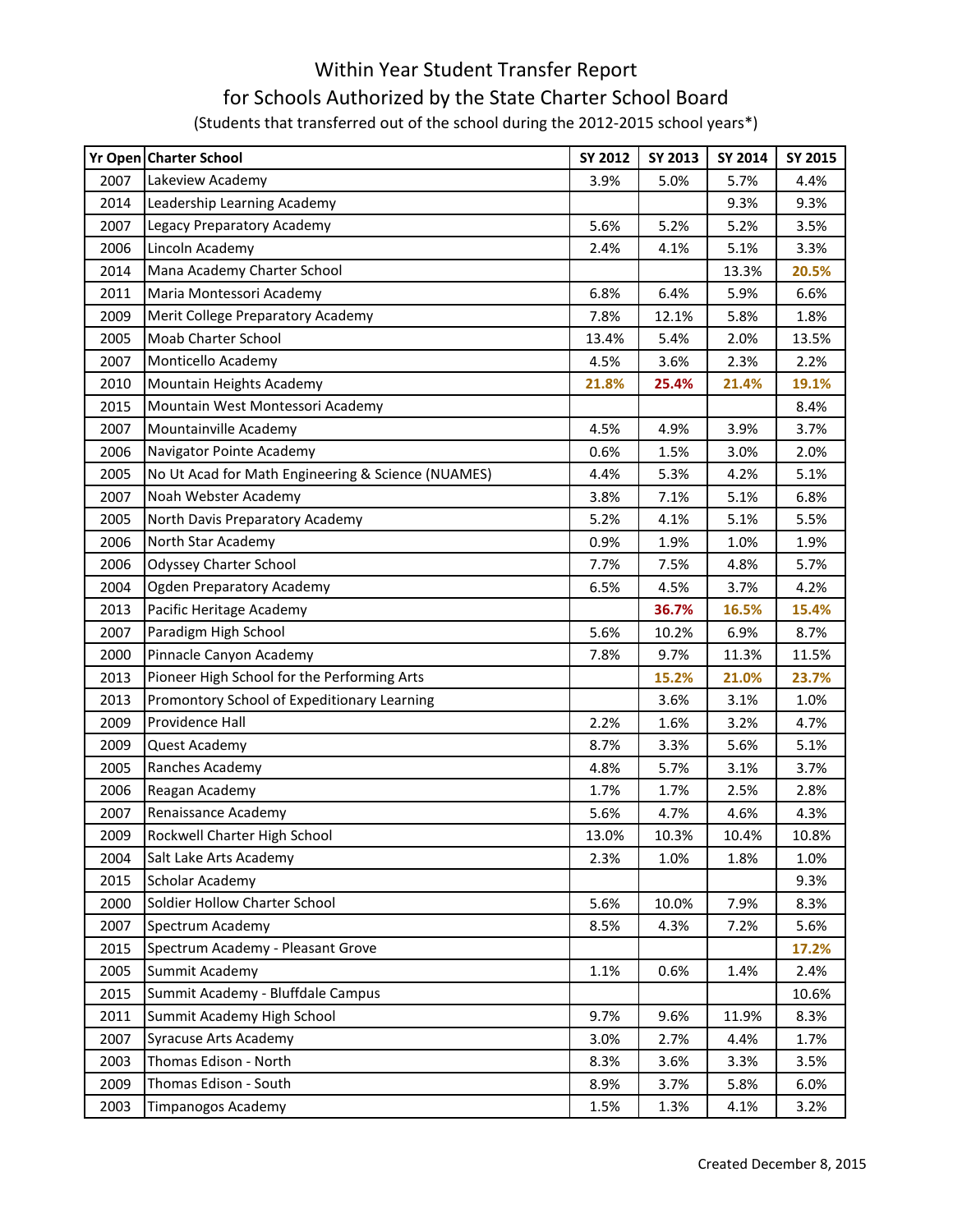## Within Year Student Transfer Report for Schools Authorized by the State Charter School Board (Students that transferred out of the school during the 2012-2015 school years\*)

|      | Yr Open Charter School                             | SY 2012 | SY 2013 | SY 2014 | SY 2015 |
|------|----------------------------------------------------|---------|---------|---------|---------|
| 2007 | Lakeview Academy                                   | 3.9%    | 5.0%    | 5.7%    | 4.4%    |
| 2014 | Leadership Learning Academy                        |         |         | 9.3%    | 9.3%    |
| 2007 | Legacy Preparatory Academy                         | 5.6%    | 5.2%    | 5.2%    | 3.5%    |
| 2006 | Lincoln Academy                                    | 2.4%    | 4.1%    | 5.1%    | 3.3%    |
| 2014 | Mana Academy Charter School                        |         |         | 13.3%   | 20.5%   |
| 2011 | Maria Montessori Academy                           | 6.8%    | 6.4%    | 5.9%    | 6.6%    |
| 2009 | Merit College Preparatory Academy                  | 7.8%    | 12.1%   | 5.8%    | 1.8%    |
| 2005 | Moab Charter School                                | 13.4%   | 5.4%    | 2.0%    | 13.5%   |
| 2007 | Monticello Academy                                 | 4.5%    | 3.6%    | 2.3%    | 2.2%    |
| 2010 | Mountain Heights Academy                           | 21.8%   | 25.4%   | 21.4%   | 19.1%   |
| 2015 | Mountain West Montessori Academy                   |         |         |         | 8.4%    |
| 2007 | Mountainville Academy                              | 4.5%    | 4.9%    | 3.9%    | 3.7%    |
| 2006 | Navigator Pointe Academy                           | 0.6%    | 1.5%    | 3.0%    | 2.0%    |
| 2005 | No Ut Acad for Math Engineering & Science (NUAMES) | 4.4%    | 5.3%    | 4.2%    | 5.1%    |
| 2007 | Noah Webster Academy                               | 3.8%    | 7.1%    | 5.1%    | 6.8%    |
| 2005 | North Davis Preparatory Academy                    | 5.2%    | 4.1%    | 5.1%    | 5.5%    |
| 2006 | North Star Academy                                 | 0.9%    | 1.9%    | 1.0%    | 1.9%    |
| 2006 | <b>Odyssey Charter School</b>                      | 7.7%    | 7.5%    | 4.8%    | 5.7%    |
| 2004 | Ogden Preparatory Academy                          | 6.5%    | 4.5%    | 3.7%    | 4.2%    |
| 2013 | Pacific Heritage Academy                           |         | 36.7%   | 16.5%   | 15.4%   |
| 2007 | Paradigm High School                               | 5.6%    | 10.2%   | 6.9%    | 8.7%    |
| 2000 | Pinnacle Canyon Academy                            | 7.8%    | 9.7%    | 11.3%   | 11.5%   |
| 2013 | Pioneer High School for the Performing Arts        |         | 15.2%   | 21.0%   | 23.7%   |
| 2013 | Promontory School of Expeditionary Learning        |         | 3.6%    | 3.1%    | 1.0%    |
| 2009 | Providence Hall                                    | 2.2%    | 1.6%    | 3.2%    | 4.7%    |
| 2009 | Quest Academy                                      | 8.7%    | 3.3%    | 5.6%    | 5.1%    |
| 2005 | Ranches Academy                                    | 4.8%    | 5.7%    | 3.1%    | 3.7%    |
| 2006 | Reagan Academy                                     | 1.7%    | 1.7%    | 2.5%    | 2.8%    |
| 2007 | Renaissance Academy                                | 5.6%    | 4.7%    | 4.6%    | 4.3%    |
| 2009 | Rockwell Charter High School                       | 13.0%   | 10.3%   | 10.4%   | 10.8%   |
| 2004 | Salt Lake Arts Academy                             | 2.3%    | 1.0%    | 1.8%    | 1.0%    |
| 2015 | Scholar Academy                                    |         |         |         | 9.3%    |
| 2000 | Soldier Hollow Charter School                      | 5.6%    | 10.0%   | 7.9%    | 8.3%    |
| 2007 | Spectrum Academy                                   | 8.5%    | 4.3%    | 7.2%    | 5.6%    |
| 2015 | Spectrum Academy - Pleasant Grove                  |         |         |         | 17.2%   |
| 2005 | Summit Academy                                     | 1.1%    | 0.6%    | 1.4%    | 2.4%    |
| 2015 | Summit Academy - Bluffdale Campus                  |         |         |         | 10.6%   |
| 2011 | Summit Academy High School                         | 9.7%    | 9.6%    | 11.9%   | 8.3%    |
| 2007 | <b>Syracuse Arts Academy</b>                       | 3.0%    | 2.7%    | 4.4%    | 1.7%    |
| 2003 | Thomas Edison - North                              | 8.3%    | 3.6%    | 3.3%    | 3.5%    |
| 2009 | Thomas Edison - South                              | 8.9%    | 3.7%    | 5.8%    | 6.0%    |
| 2003 | <b>Timpanogos Academy</b>                          | 1.5%    | 1.3%    | 4.1%    | 3.2%    |